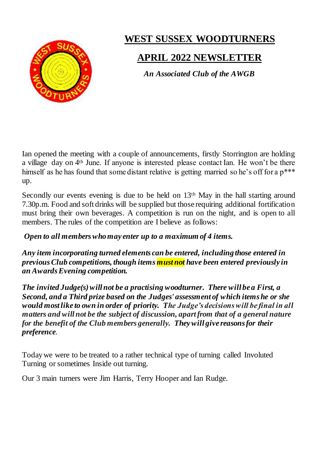

# **WEST SUSSEX WOODTURNERS**

### **APRIL 2022 NEWSLETTER**

*An Associated Club of the AWGB*

Ian opened the meeting with a couple of announcements, firstly Storrington are holding a village day on 4th June. If anyone is interested please contact Ian. He won't be there himself as he has found that some distant relative is getting married so he's off for a  $p^{***}$ up.

Secondly our events evening is due to be held on 13<sup>th</sup> May in the hall starting around 7.30p.m. Food and soft drinks will be supplied but those requiring additional fortification must bring their own beverages. A competition is run on the night, and is open to all members. The rules of the competition are I believe as follows:

*Open to all members who may enter up to a maximum of 4 items.*

*Any item incorporating turned elements can be entered, including those entered in previous Club competitions, though items must not have been entered previously in an Awards Evening competition.*

*The invited Judge(s) will not be a practising woodturner. There will be a First, a Second, and a Third prize based on the Judges' assessment of which items he or she would most like to own in order of priority. The Judge's decisions will be final in all matters and will not be the subject of discussion, apart from that of a general nature for the benefit of the Club members generally. They will give reasons for their preference.*

Today we were to be treated to a rather technical type of turning called Involuted Turning or sometimes Inside out turning.

Our 3 main turners were Jim Harris, Terry Hooper and Ian Rudge.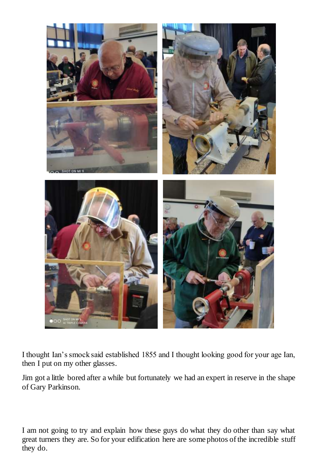

I thought Ian's smock said established 1855 and I thought looking good for your age Ian, then I put on my other glasses.

Jim got a little bored after a while but fortunately we had an expert in reserve in the shape of Gary Parkinson.

I am not going to try and explain how these guys do what they do other than say what great turners they are. So for your edification here are some photos of the incredible stuff they do.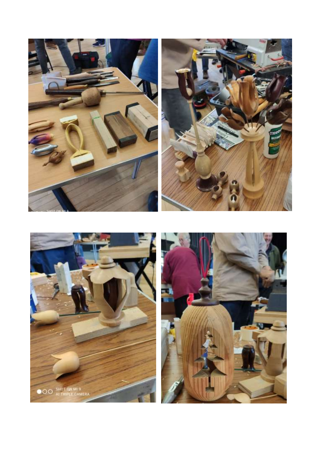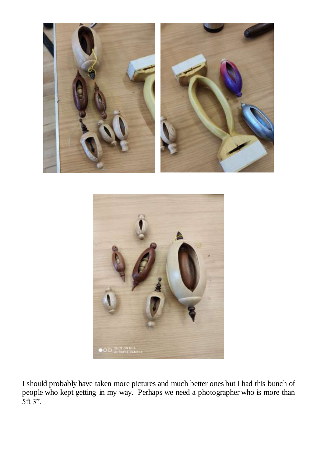



I should probably have taken more pictures and much better ones but I had this bunch of people who kept getting in my way. Perhaps we need a photographer who is more than  $\overline{5}$ ft  $\overline{3}$ ".